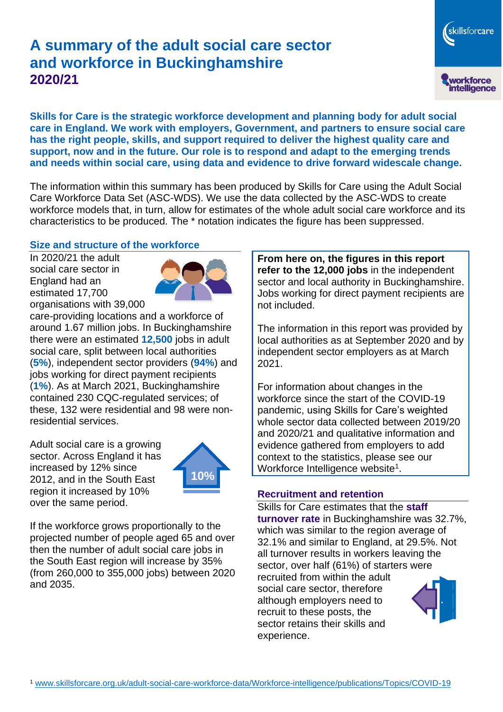# **A summary of the adult social care sector and workforce in Buckinghamshire 2020/21**

skillsforcare workforce<br>intelligence

**Skills for Care is the strategic workforce development and planning body for adult social care in England. We work with employers, Government, and partners to ensure social care has the right people, skills, and support required to deliver the highest quality care and support, now and in the future. Our role is to respond and adapt to the emerging trends and needs within social care, using data and evidence to drive forward widescale change.**

The information within this summary has been produced by Skills for Care using the Adult Social Care Workforce Data Set (ASC-WDS). We use the data collected by the ASC-WDS to create workforce models that, in turn, allow for estimates of the whole adult social care workforce and its characteristics to be produced. The \* notation indicates the figure has been suppressed.

### **Size and structure of the workforce**

In 2020/21 the adult social care sector in England had an estimated 17,700 organisations with 39,000



care-providing locations and a workforce of around 1.67 million jobs. In Buckinghamshire there were an estimated **12,500** jobs in adult social care, split between local authorities (**5%**), independent sector providers (**94%**) and jobs working for direct payment recipients (**1%**). As at March 2021, Buckinghamshire contained 230 CQC-regulated services; of these, 132 were residential and 98 were nonresidential services.

Adult social care is a growing sector. Across England it has increased by 12% since 2012, and in the South East region it increased by 10% over the same period.



If the workforce grows proportionally to the projected number of people aged 65 and over then the number of adult social care jobs in the South East region will increase by 35% (from 260,000 to 355,000 jobs) between 2020 and 2035.

**From here on, the figures in this report refer to the 12,000 jobs** in the independent sector and local authority in Buckinghamshire. Jobs working for direct payment recipients are not included.

The information in this report was provided by local authorities as at September 2020 and by independent sector employers as at March 2021.

For information about changes in the workforce since the start of the COVID-19 pandemic, using Skills for Care's weighted whole sector data collected between 2019/20 and 2020/21 and qualitative information and evidence gathered from employers to add context to the statistics, please see our Workforce Intelligence website<sup>1</sup>.

### **Recruitment and retention**

Skills for Care estimates that the **staff turnover rate** in Buckinghamshire was 32.7%, which was similar to the region average of 32.1% and similar to England, at 29.5%. Not all turnover results in workers leaving the sector, over half (61%) of starters were recruited from within the adult social care sector, therefore although employers need to recruit to these posts, the sector retains their skills and experience.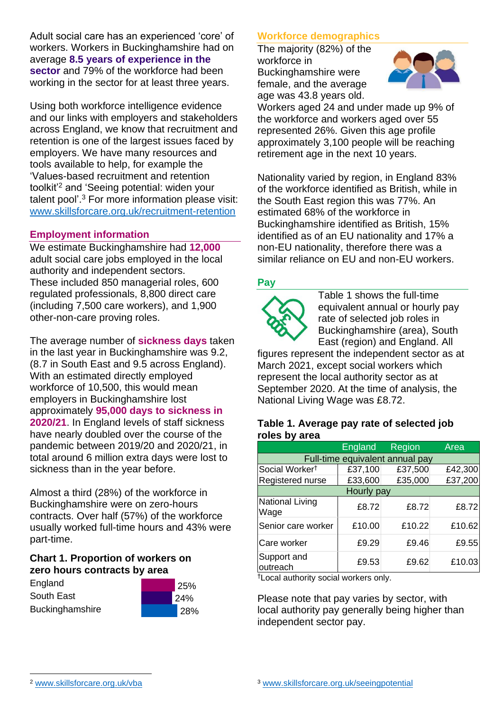Adult social care has an experienced 'core' of workers. Workers in Buckinghamshire had on average **8.5 years of experience in the sector** and 79% of the workforce had been working in the sector for at least three years.

Using both workforce intelligence evidence and our links with employers and stakeholders across England, we know that recruitment and retention is one of the largest issues faced by employers. We have many resources and tools available to help, for example the 'Values-based recruitment and retention toolkit'<sup>2</sup> and 'Seeing potential: widen your talent pool'. <sup>3</sup> For more information please visit: [www.skillsforcare.org.uk/recruitment-retention](http://www.skillsforcare.org.uk/recruitment-retention)

### **Employment information**

We estimate Buckinghamshire had **12,000** adult social care jobs employed in the local authority and independent sectors. These included 850 managerial roles, 600 regulated professionals, 8,800 direct care (including 7,500 care workers), and 1,900 other-non-care proving roles.

The average number of **sickness days** taken in the last year in Buckinghamshire was 9.2, (8.7 in South East and 9.5 across England). With an estimated directly employed workforce of 10,500, this would mean employers in Buckinghamshire lost approximately **95,000 days to sickness in 2020/21**. In England levels of staff sickness have nearly doubled over the course of the pandemic between 2019/20 and 2020/21, in total around 6 million extra days were lost to sickness than in the year before.

Almost a third (28%) of the workforce in Buckinghamshire were on zero-hours contracts. Over half (57%) of the workforce usually worked full-time hours and 43% were part-time.

> 25% 24% 28%

### **Chart 1. Proportion of workers on zero hours contracts by area**

| England         |  |
|-----------------|--|
| South East      |  |
| Buckinghamshire |  |



The majority (82%) of the workforce in Buckinghamshire were female, and the average age was 43.8 years old.



Workers aged 24 and under made up 9% of the workforce and workers aged over 55 represented 26%. Given this age profile approximately 3,100 people will be reaching retirement age in the next 10 years.

Nationality varied by region, in England 83% of the workforce identified as British, while in the South East region this was 77%. An estimated 68% of the workforce in Buckinghamshire identified as British, 15% identified as of an EU nationality and 17% a non-EU nationality, therefore there was a similar reliance on EU and non-EU workers.

### **Pay**



Table 1 shows the full-time equivalent annual or hourly pay rate of selected job roles in Buckinghamshire (area), South East (region) and England. All

figures represent the independent sector as at March 2021, except social workers which represent the local authority sector as at September 2020. At the time of analysis, the National Living Wage was £8.72.

#### **Table 1. Average pay rate of selected job roles by area**

|                                 | England | Region  | Area    |
|---------------------------------|---------|---------|---------|
| Full-time equivalent annual pay |         |         |         |
| Social Worker <sup>t</sup>      | £37,100 | £37,500 | £42,300 |
| Registered nurse                | £33,600 | £35,000 | £37,200 |
| Hourly pay                      |         |         |         |
| National Living<br>Wage         | £8.72   | £8.72   | £8.72   |
| Senior care worker              | £10.00  | £10.22  | £10.62  |
| Care worker                     | £9.29   | £9.46   | £9.55   |
| Support and<br>outreach         | £9.53   | £9.62   | £10.03  |

†Local authority social workers only.

Please note that pay varies by sector, with local authority pay generally being higher than independent sector pay.

[www.skillsforcare.org.uk/vba](http://www.skillsforcare.org.uk/vba)